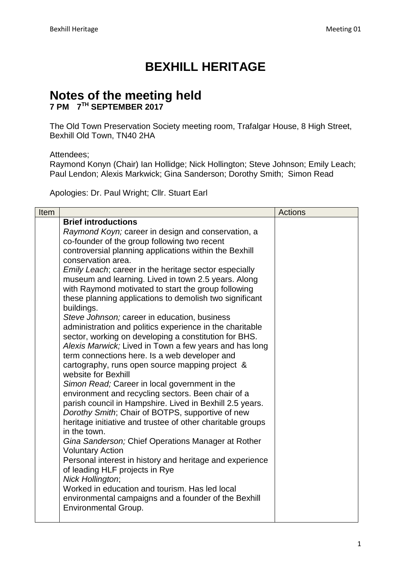## **BEXHILL HERITAGE**

## **Notes of the meeting held 7 PM 7 TH SEPTEMBER 2017**

The Old Town Preservation Society meeting room, Trafalgar House, 8 High Street, Bexhill Old Town, TN40 2HA

Attendees;

Raymond Konyn (Chair) Ian Hollidge; Nick Hollington; Steve Johnson; Emily Leach; Paul Lendon; Alexis Markwick; Gina Sanderson; Dorothy Smith; Simon Read

Apologies: Dr. Paul Wright; Cllr. Stuart Earl

| Item |                                                                                                                 | <b>Actions</b> |
|------|-----------------------------------------------------------------------------------------------------------------|----------------|
|      | <b>Brief introductions</b>                                                                                      |                |
|      | Raymond Koyn; career in design and conservation, a                                                              |                |
|      | co-founder of the group following two recent                                                                    |                |
|      | controversial planning applications within the Bexhill                                                          |                |
|      | conservation area.                                                                                              |                |
|      | Emily Leach; career in the heritage sector especially                                                           |                |
|      | museum and learning. Lived in town 2.5 years. Along                                                             |                |
|      | with Raymond motivated to start the group following                                                             |                |
|      | these planning applications to demolish two significant                                                         |                |
|      | buildings.                                                                                                      |                |
|      | Steve Johnson; career in education, business                                                                    |                |
|      | administration and politics experience in the charitable                                                        |                |
|      | sector, working on developing a constitution for BHS.<br>Alexis Marwick; Lived in Town a few years and has long |                |
|      | term connections here. Is a web developer and                                                                   |                |
|      | cartography, runs open source mapping project &                                                                 |                |
|      | website for Bexhill                                                                                             |                |
|      | Simon Read; Career in local government in the                                                                   |                |
|      | environment and recycling sectors. Been chair of a                                                              |                |
|      | parish council in Hampshire. Lived in Bexhill 2.5 years.                                                        |                |
|      | Dorothy Smith; Chair of BOTPS, supportive of new                                                                |                |
|      | heritage initiative and trustee of other charitable groups                                                      |                |
|      | in the town.                                                                                                    |                |
|      | Gina Sanderson; Chief Operations Manager at Rother                                                              |                |
|      | <b>Voluntary Action</b>                                                                                         |                |
|      | Personal interest in history and heritage and experience                                                        |                |
|      | of leading HLF projects in Rye                                                                                  |                |
|      | Nick Hollington;                                                                                                |                |
|      | Worked in education and tourism. Has led local                                                                  |                |
|      | environmental campaigns and a founder of the Bexhill                                                            |                |
|      | <b>Environmental Group.</b>                                                                                     |                |
|      |                                                                                                                 |                |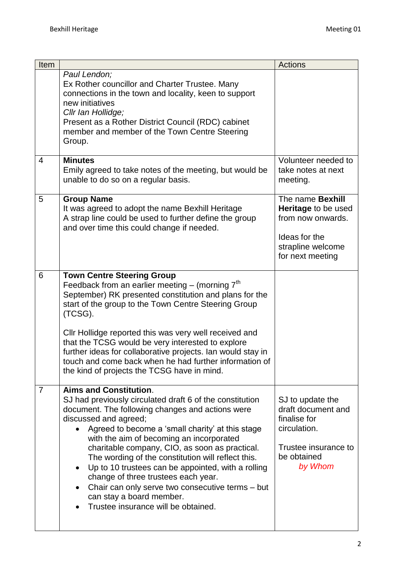| Item           |                                                                                                                                                                                                                                                                                                                                                                                                                                                                                                                                                                                                    | <b>Actions</b>                                                                                                                |
|----------------|----------------------------------------------------------------------------------------------------------------------------------------------------------------------------------------------------------------------------------------------------------------------------------------------------------------------------------------------------------------------------------------------------------------------------------------------------------------------------------------------------------------------------------------------------------------------------------------------------|-------------------------------------------------------------------------------------------------------------------------------|
|                | Paul Lendon;<br>Ex Rother councillor and Charter Trustee. Many<br>connections in the town and locality, keen to support<br>new initiatives<br>Cllr Ian Hollidge;<br>Present as a Rother District Council (RDC) cabinet<br>member and member of the Town Centre Steering<br>Group.                                                                                                                                                                                                                                                                                                                  |                                                                                                                               |
| 4              | <b>Minutes</b><br>Emily agreed to take notes of the meeting, but would be<br>unable to do so on a regular basis.                                                                                                                                                                                                                                                                                                                                                                                                                                                                                   | Volunteer needed to<br>take notes at next<br>meeting.                                                                         |
| 5              | <b>Group Name</b><br>It was agreed to adopt the name Bexhill Heritage<br>A strap line could be used to further define the group<br>and over time this could change if needed.                                                                                                                                                                                                                                                                                                                                                                                                                      | The name <b>Bexhill</b><br>Heritage to be used<br>from now onwards.<br>Ideas for the<br>strapline welcome<br>for next meeting |
| 6              | <b>Town Centre Steering Group</b><br>Feedback from an earlier meeting $-$ (morning $7th$<br>September) RK presented constitution and plans for the<br>start of the group to the Town Centre Steering Group<br>(TCSG).<br>Cllr Hollidge reported this was very well received and<br>that the TCSG would be very interested to explore<br>further ideas for collaborative projects. Ian would stay in<br>touch and come back when he had further information of<br>the kind of projects the TCSG have in mind.                                                                                       |                                                                                                                               |
| $\overline{7}$ | <b>Aims and Constitution.</b><br>SJ had previously circulated draft 6 of the constitution<br>document. The following changes and actions were<br>discussed and agreed;<br>Agreed to become a 'small charity' at this stage<br>with the aim of becoming an incorporated<br>charitable company, CIO, as soon as practical.<br>The wording of the constitution will reflect this.<br>Up to 10 trustees can be appointed, with a rolling<br>change of three trustees each year.<br>Chair can only serve two consecutive terms - but<br>can stay a board member.<br>Trustee insurance will be obtained. | SJ to update the<br>draft document and<br>finalise for<br>circulation.<br>Trustee insurance to<br>be obtained<br>by Whom      |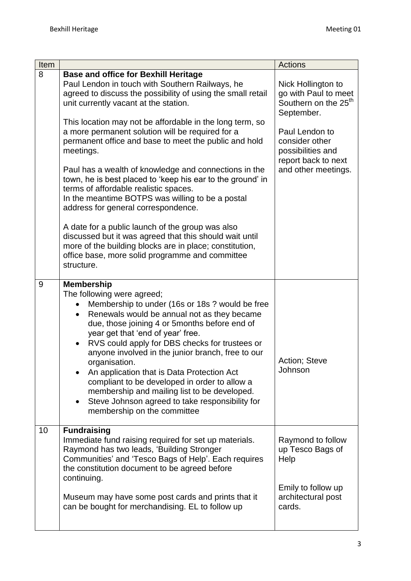| Item |                                                                                                                                                                                                                                                                                                                                                                                                                                                                                                                                                                                                                            | <b>Actions</b>                                                                               |
|------|----------------------------------------------------------------------------------------------------------------------------------------------------------------------------------------------------------------------------------------------------------------------------------------------------------------------------------------------------------------------------------------------------------------------------------------------------------------------------------------------------------------------------------------------------------------------------------------------------------------------------|----------------------------------------------------------------------------------------------|
| 8    | <b>Base and office for Bexhill Heritage</b><br>Paul Lendon in touch with Southern Railways, he<br>agreed to discuss the possibility of using the small retail<br>unit currently vacant at the station.<br>This location may not be affordable in the long term, so                                                                                                                                                                                                                                                                                                                                                         | Nick Hollington to<br>go with Paul to meet<br>Southern on the 25 <sup>th</sup><br>September. |
|      | a more permanent solution will be required for a<br>permanent office and base to meet the public and hold<br>meetings.                                                                                                                                                                                                                                                                                                                                                                                                                                                                                                     | Paul Lendon to<br>consider other<br>possibilities and<br>report back to next                 |
|      | Paul has a wealth of knowledge and connections in the<br>town, he is best placed to 'keep his ear to the ground' in<br>terms of affordable realistic spaces.<br>In the meantime BOTPS was willing to be a postal<br>address for general correspondence.                                                                                                                                                                                                                                                                                                                                                                    | and other meetings.                                                                          |
|      | A date for a public launch of the group was also<br>discussed but it was agreed that this should wait until<br>more of the building blocks are in place; constitution,<br>office base, more solid programme and committee<br>structure.                                                                                                                                                                                                                                                                                                                                                                                    |                                                                                              |
| 9    | <b>Membership</b><br>The following were agreed;<br>Membership to under (16s or 18s ? would be free<br>Renewals would be annual not as they became<br>$\bullet$<br>due, those joining 4 or 5months before end of<br>year get that 'end of year' free.<br>RVS could apply for DBS checks for trustees or<br>anyone involved in the junior branch, free to our<br>organisation.<br>An application that is Data Protection Act<br>compliant to be developed in order to allow a<br>membership and mailing list to be developed.<br>Steve Johnson agreed to take responsibility for<br>$\bullet$<br>membership on the committee | Action; Steve<br>Johnson                                                                     |
| 10   | <b>Fundraising</b><br>Immediate fund raising required for set up materials.<br>Raymond has two leads, 'Building Stronger<br>Communities' and 'Tesco Bags of Help'. Each requires<br>the constitution document to be agreed before<br>continuing.                                                                                                                                                                                                                                                                                                                                                                           | Raymond to follow<br>up Tesco Bags of<br>Help                                                |
|      | Museum may have some post cards and prints that it<br>can be bought for merchandising. EL to follow up                                                                                                                                                                                                                                                                                                                                                                                                                                                                                                                     | Emily to follow up<br>architectural post<br>cards.                                           |